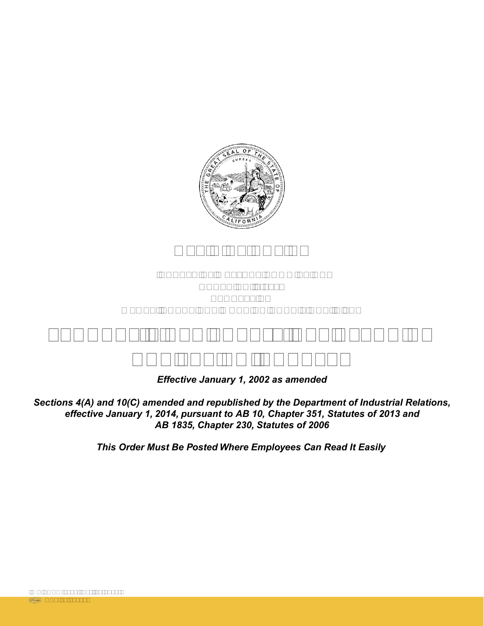

**OFFICIAL NOTICE**

 **WAGES, HOURS AND WORKING CONDITIONS IN THE INDUSTRIAL WELFARE COMMISSION ORDER NO. 6-2001 REGULATING**

# **LAUNDRY, LINEN SUPPLY, DRY CLEANING AND DYEING INDUSTRY**

*Effective January 1, 2002 as amended*

 *effective January 1, 2014, pursuant to AB 10, Chapter 351, Statutes of 2013 and AB 1835, Chapter 230, Statutes of 2006 Sections 4(A) and 10(C) amended and republished by the Department of Industrial Relations,*

 *This Order Must Be Posted Where Employees Can Read It Easily*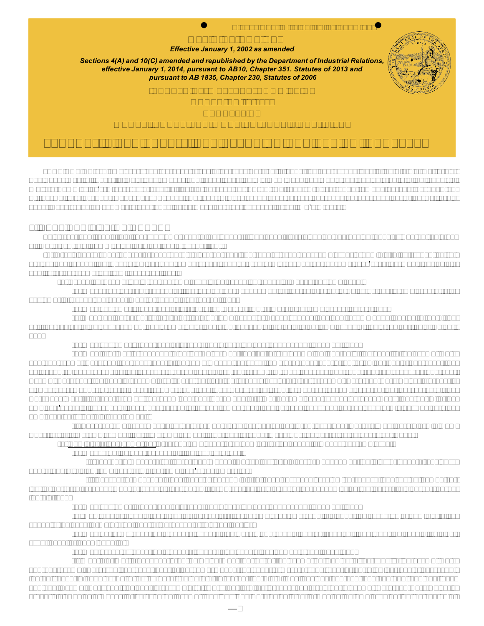**• Please Post With This Side Showing •**

## **OFFICIAL NOTICE**

 *Effective January 1, 2002 as amended*

 *Sections 4(A) and 10(C) amended and republished by the Department of Industrial Relations, effective January 1, 2014, pursuant to AB10, Chapter 351. Statutes of 2013 and pursuant to AB 1835, Chapter 230, Statutes of 2006*



## **ORDER NO. 6-2001 WAGES, HOURS AND WORKING CONDITIONS IN THE INDUSTRIAL WELFARE COMMISSION REGULATING**

 **LAUNDRY, LINEN SUPPLY, DRY CLEANING AND DYEING INDUSTRY** 

 **TAKE NOTICE:** To employers and representatives of persons working in industries and occupations in the State of California: The Department of Industrial Relations amends and republishes the minimum wage and meals and lodging credits in the Industrial Welfare Commission's Orders as a result of legislation enacted (AB 10, Ch. 351, Stats of 2013, amending section 1182.12 of the California Labor Code and AB 1835, Ch. 230, Stats of 2006, adding sections 1182.12 and 1182.13 to the California Labor Code.) The amendments and republishing make no other changes to the IWC's Orders.

## **1. APPLICABILITY OF ORDER**

 This order shall apply to all persons employed in the laundry, linen supply, dry cleaning and dyeing industry whether paid on a time, piece rate, commission, or other basis, except that:

 (A) Provisions of Sections 3 through 12 of this order shall not apply to persons employed in administrative, executive, or professional capacities. The following requirements shall apply in determining whether an employee's duties meet the test to qualify for an exemption from those sections:

(1) Executive Exemption. A person employed in an executive capacity means any employee:

 (a) Whose duties and responsibilities involve the management of the enterprise in which he/she is employed or of a customarily recognized department or subdivision thereof; and

(b) Who customarily and regularly directs the work of two or more other employees therein; and

 (c) Who has the authority to hire or fire other employees or whose suggestions and recommendations as to the hiring or firing and as to the advancement and promotion or any other change of status of other employees will be given particular weight; and

(d) Who customarily and regularly exercises discretion and independent judgment; and

 (e) Who is primarily engaged in duties which meet the test of the exemption. The activities constituting exempt work and non-exempt work shall be construed in the same manner as such items are construed in the following regulations under the Fair Labor Standards Act effective as of the date of this order: 29 C.F.R. Sections 541.102, 541.104-111, and 541.115-116. Exempt work shall include, for example, all work that is directly and closely related to exempt work and work which is properly viewed as a means for carrying out exempt functions. The work actually performed by the employee during the course of the workweek must, first and foremost, be examined and the amount of time the employee spends on such work, together with the employer's realistic expectations and the realistic requirements of the job, shall be considered in determining whether the employee satisfies this requirement.

 (f) Such an employee must also earn a monthly salary equivalent to no less than two (2) times the state minimum wage for full-time employment. Full-time employment is defined in Labor Code Section 515(c) as 40 hours per week.

(2) Administrative Exemption. A person employed in an administrative capacity means any employee:

(a) Whose duties and responsibilities involve either:

 (i) The performance of office or non-manual work directly related to management policies or general business operations of his/her employer or his/her employer's customers; or

 (ii) The performance of functions in the administration of a school system, or educational establishment or institution, or of a department or subdivision thereof, in work directly related to the academic instruction or training carried on therein; and

(b) Who customarily and regularly exercises discretion and independent judgment; and

 (c) Who regularly and directly assists a proprietor, or an employee employed in a bona fide executive or administrative capacity (as such terms are defined for purposes of this section); or

 (d) Who performs under only general supervision work along specialized or technical lines requiring special training, experience, or knowledge; or

(e) Who executes under only general supervision special assignments and tasks; and

 (f) Who is primarily engaged in duties which meet the test of the exemption. The activities constituting exempt work and non-exempt work shall be construed in the same manner as such terms are construed in the following regulations under the Fair Labor Standards Act effective as of the date of this order: 29 C.F.R. Sections 541.201-205, 541.207-208, 541.210, and 541.215. Exempt work shall include, for example, all work that is directly and closely related to exempt work and work which is properly viewed as a means for carrying out exempt functions. The work actually performed by the employee during the course of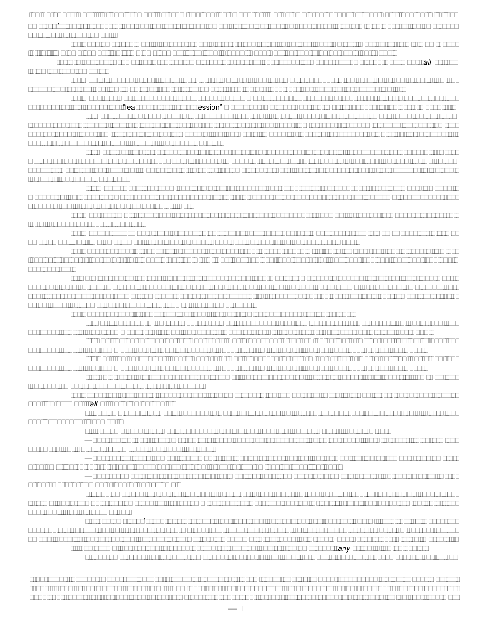the workweek must, first and foremost, be examined and the amount of time the employee spends on such work, together with the

 employer's realistic expectations and the realistic requirements of the job, shall be considered in determining whether the employee satisfies this requirement.

 (g) Such employee must also earn a monthly salary equivalent to no less than two (2) times the state minimum wage for full-time employment. Full-time employment is defined in Labor Code Section 515(c) as 40 hours per week.

 (3) Professional Exemption. A person employed in a professional capacity means any employee who meets *all* of the following requirements:

 (a) Who is licensed or certified by the State of California and is primarily engaged in the practice of one of the following recognized professions: law, medicine, dentistry, optometry, architecture, engineering, teaching, or accounting; or

 (b) Who is primarily engaged in an occupation commonly recognized as a learned or artistic profession. For the purposes of this subsection, "learned or artistic profession" means an employee who is primarily engaged in the performance of:

 (i) Work requiring knowledge of an advanced type in a field or science or learning customarily acquired by a pro- longed course of specialized intellectual instruction and study, as distinguished from a general academic education and from an apprenticeship, and from training in the performance of routine mental, manual, or physical processes, or work that is an essential part of or necessarily incident to any of the above work; or

 (ii) Work that is original and creative in character in a recognized field of artistic endeavor (as opposed to work which can be produced by a person endowed with general manual or intellectual ability and training), and the result of which de- pends primarily on the invention, imagination, or talent of the employee or work that is an essential part of or necessarily incident to any of the above work; and

 (iii) Whose work is predominantly intellectual and varied in character (as opposed to routine mental, manual, mechanical, or physical work) and is of such character that the output produced or the result accomplished cannot be standardized in relation to a given period of time.

 (c) Who customarily and regularly exercises discretion and independent judgment in the performance of duties set forth in subparagraphs (a) and (b).

 (d) Who earns a monthly salary equivalent to no less than two (2) times the state minimum wage for full-time employment. Full-time employment is defined in Labor Code Section 515 (c) as 40 hours per week.

 (e) Subparagraph (b) above is intended to be construed in accordance with the following provisions of federal law as they existed as of the date of this wage order: 29 C.F.R. Sections 541.207, 541.301(a)-(d), 541.302, 541.306, 541.307, 541.308, and 541.310.

 (f) Notwithstanding the provisions of this subparagraph, pharmacists employed to engage in the practice of pharmacy, and registered nurses employed to engage in the practice of nursing, shall not be considered exempt professional employees, nor shall they be considered exempt from coverage for the purposes of this subparagraph unless they individually meet the criteria established for exemption as executive or administrative employees.

(g) Subparagraph (f) above shall not apply to the following advanced practice nurses:

 (i) Certified nurse midwives who are primarily engaged in performing duties for which certification is required pursuant to Article 2.5 (commencing with Section 2746) of Chapter 6 of Division 2 of the Business and Professions Code.

 (ii) Certified nurse anesthetists who are primarily engaged in performing duties for which certification is required pursuant to Article 7 (commencing with Section 2825) of Chapter 6 of Division 2 of the Business and Professions Code.

 (iii) Certified nurse practitioners who are primarily engaged in performing duties for which certification is required pursuant to Article 8 (commencing with Section 2834) of Chapter 6 of Division 2 of the Business and Professions Code.

 (iv) Nothing in this subparagraph shall exempt the occupations set forth in clauses (i), (ii), and (iii) from meeting the requirements of subsection 1(A)(3)(a)-(d) above.

 (h) Except, as provided in subparagraph (i), an employee in the computer software field who is paid on an hourly basis shall be exempt, if *all* of the following apply:

 (i) The employee is primarily engaged in work that is intellectual or creative and requires the exercise of discretion and independent judgment.

(ii) The employee is primarily engaged in duties that consist of one or more of the following:

 —The application of systems analysis techniques and procedures, including consulting with users, to determine hardware, software, or system functional specifications.

 —The design, development, documentation, analysis, creation, testing, or modification of computer systems or programs, including prototypes, based on and related to user or system design specifications.

 —The documentation, testing, creation, or modification of computer programs related to the design of software or hardware for computer operating systems.

 (iii) The employee is highly skilled and is proficient in the theoretical and practical application of highly specialized information to computer systems analysis, programming, and software engineering. A job title shall not be determinative of the applicability of this exemption.

 (iv) The employee's hourly rate of pay is not less than forty-one dollars (\$41.00). The Office of Policy, Research and Legislation shall adjust this pay rate on October 1 of each year to be effective on January 1 of the following year by an amount equal to the percentage increase in the California Consumer Price Index for Urban Wage Earners and Clerical Workers.\*

(i) The exemption provided in subparagraph (h) does not apply to an employee if *any* of the following apply:

(i) The employee is a trainee or employee in an entry-level position who is learning to become proficient in the

 \* Pursuant to Labor Code section 515.5, subdivision (a)(4), the Office of Policy, Research and Legislation, Department of Industrial Relations, has adjusted the minimum hourly rate of pay specified in this subdivision to be \$49.77, effective January 1, 2007. This hourly rate of pay is adjusted on October 1 of each year to be effective on January 1, of the following year, and may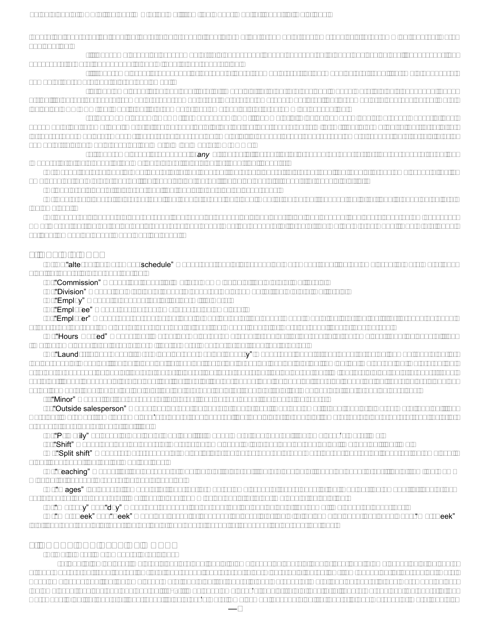be obtaine[d at www.dir.ca.gov/IWC o](http://www.dir.ca.gov/IWC)r by mail from the Department of Industrial Relations.

 theoretical and practical application of highly specialized information to computer systems analysis, programming, and software engineering.

 (ii) The employee is in a computer-related occupation but has not attained the level of skill and expertise necessary to work independently and without close supervision.

 (iii) The employee is engaged in the operation of computers or in the manufacture, repair, or maintenance of computer hardware and related equipment.

 or facilitated by the use of computers and computer software programs and who is skilled in computer-aided design software, (iv) The employee is an engineer, drafter, machinist, or other professional whose work is highly dependent upon including CAD/CAM, but who is not in a computer systems analysis or programming occupation.

 (v) The employee is a writer engaged in writing material, including box labels, product descriptions, documentation, promotional material, setup and installation instructions, and other similar written information, either for print or for on screen media or who writes or provides content material intended to be read by customers, subscribers, or visitors to computer-related media such as the World Wide Web or CD-ROMs.

 (vi) The employee is engaged in *any* of the activities set forth in subparagraph (h) for the purpose of creating imagery for effects used in the motion picture, television, or theatrical industry.

 (B) Except as provided in Sections 1, 2, 4, 10, and 20, the provisions of this order shall not apply to any employees directly employed by the State or any political subdivision thereof, including any city, county, or special district.

(C) The provisions of this order shall not apply to outside salespersons.

 (D) The provisions of this order shall not apply to any individual who is the parent, spouse, child, or legally adopted child of the employer.

 (E) The provisions of this order shall not apply to any individual participating in a national service program, such as AmeriCorps, carried out using assistance provided under Section 12571 of Title 42 of the United States Code. (See Stats. 2000, ch. 365, amending Labor Code Section 1171.)

## **2. DEFINITIONS**

(A) An "alternative workweek schedule" means any regularly scheduled workweek requiring an employee to work more than eight (8) hours in a 24-hour period.

(B) "Commission" means the Industrial Welfare Commission of the State of California.

(C) ―Division‖ means the Division of Labor Standards Enforcement of the State of California.

- (D) "Employ" means to engage, suffer, or permit to work.
- (E) "Employee" means any person employed by an employer.

 (F) ―Employer‖ means any person as defined in Section 18 of the Labor Code, who directly or indirectly, or through an agent or any other person, employs or exercises control over the wages, hours, or working conditions of any person.

(G) "Hours worked" means the time during which an employee is subject to the control of an employer, and includes all the time the employee is suffered or permitted to work, whether or not required to do so.

(H) "Laundry, Linen Supply, Dry Cleaning and Dyeing Industry" means any industry, business, or establishment operated for the purpose of washing, ironing, cleaning, refreshing, restoring, pressing, dyeing, storing, fumigating, mothproofing, waterproofing, or other processes incidental thereto, on articles or fabrics of any kind, including but not limited to clothing, hats, drapery, rugs, curtains, linens, household furnishings, textiles, furs, or leather goods; and includes self-service laundries, self-service dry cleaning establishments, and the collection, distribution, storage, sale, or resale at retail or wholesale of the foregoing services.

(I) "Minor" means, for the purpose of this order, any person under the age of 18 years.

(J) "Outside salesperson" means any person, 18 years of age or over, who customarily and regularly works more than half the working time away from the employer's place of business selling tangible or intangible items or obtaining orders or contracts for products, services or use of facilities.

(K) ―Primarily‖ as used in Section 1, Applicability, means more than one-half the employee's work time.

(L) ―Shift‖ means designated hours of work by an employee, with a designated beginning time and quitting time.

(M) "Split shift" means a work schedule, which is interrupted by non-paid non-working periods established by the employer, other than bona fide rest or meal periods.

(N) "Teaching" means, for the purpose of Section 1 of this order, the profession of teaching under a certificate from the Com mission for Teacher Preparation and Licensing.

(O) "Wages" includes all amounts for labor performed by employees of every description, whether the amount is fixed or as certained by the standard of time, task, piece, commission basis, or other method of calculation.

(P) ―Workday‖ and ―day‖ mean any consecutive 24-hour period beginning at the same time each calendar day.

(Q) "Workweek" and "week" mean any seven (7) consecutive days, starting with the same calendar day each week. "Workweek" is a fixed and regularly recurring period of 168 hours, seven (7) consecutive 24-hour periods.

## **3. HOURS AND DAYS OF WORK**

(A) Daily Overtime - General Provisions

 (1) The following overtime provisions are applicable to employees 18 years of age or over and to employees 16 or 17 years of age who are not required by law to attend school and are not otherwise prohibited by law from engaging in the subject work. Such employees shall not be employed more than eight (8) hours in any workday or more than 40 hours in any workweek unless the employee receives one and one-half (11/2) times such employee's regular rate of pay for all hours worked over 40 hours in the workweek. Eight (8) hours of labor constitutes a day's work. Employment beyond eight (8) hours in any workday or more than six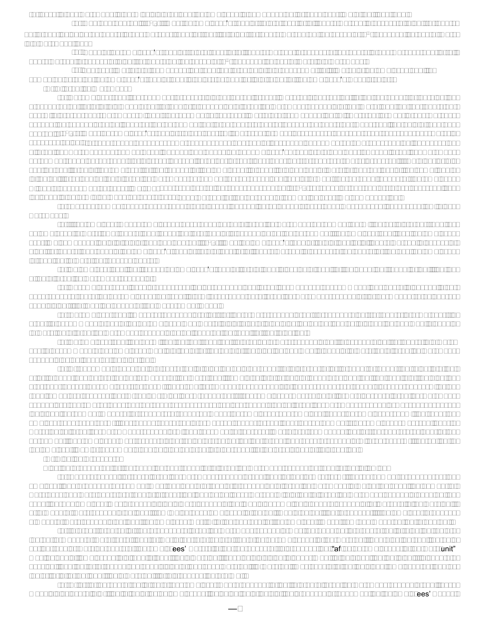(6) days in any workweek is permissible provided the employee is compensated for such overtime at not less than:

(a) One and one-half (11/<sub>2</sub>) times the employee's regular rate of pay for all hours worked in excess of eight (8) hours

up to and including 12 hours in any workday, and for the first eight (8) hours worked on the seventh (7<sup>th</sup>) consecutive day of work in a workweek; and

 (b) Double the employee's regular rate of pay for all hours worked in excess of 12 hours in any workday and for all hours worked in excess of eight  $(8)$  hours on the seventh  $(7<sup>th</sup>)$  consecutive day of work in a workweek.

 (c) The overtime rate of compensation required to be paid to a nonexempt full-time salaried employee shall be computed by using the employee's regular hourly salary as one-fortieth (1/40) of the employee's weekly salary.

(B) Alternative Workweek

 (1) No employer shall be deemed to have violated the daily overtime provisions by instituting, pursuant to the election procedures set forth in this wage order, a regularly scheduled alternative workweek schedule of not more than ten (10) hours per day within a 40 hour workweek without the payment of an overtime rate of compensation. All work performed in any workday beyond the schedule established by the agreement up to 12 hours a day or beyond 40 hours per week shall be paid at one and one-half  $(1<sup>1</sup>/<sub>2</sub>)$  times the employee's regular rate of pay. All work performed in excess of 12 hours per day and any work in excess of eight (8) hours on those days worked beyond the regularly scheduled number of workdays established by the alternative workweek agreement shall be paid at double the employee's regular rate of pay. Any alternative workweek agreement adopted pursuant to this section shall provide for not less than four (4) hours of work in any shift. Nothing in this section shall prohibit an employer, at the request of the employee, to substitute one day of work for another day of the same length in the shift provided by the alternative workweek agreement on an occasional basis to meet the personal needs of the employee without the payment of overtime. No hours paid at either one and one-half  $(1<sup>1</sup>/2)$  or double the regular rate of pay shall be included in determining when 40 hours have been worked for the purpose of computing overtime compensation.

 (2) Any agreement adopted pursuant to this section shall provide not less than two consecutive days off within a workweek.

 (3) If an employer whose employees have adopted an alternative workweek agreement permitted by this order requires an employee to work fewer hours than those that are regularly scheduled by the agreement, the employer shall pay the employee overtime compensation at a rate of one and one-half (1½) times the employee's regular rate of pay for all hours worked in excess of eight (8) hours, and double the employee's regular rate of pay for all hours worked in excess of 12 hours for the day the employee is required to work the reduced hours.

 (4) An employer shall not reduce an employee's regular rate of hourly pay as a result of the adoption, repeal or nullification of an alternative workweek schedule.

 (5) An employer shall explore any available reasonable alternative means of accommodating the religious belief or observance of an affected employee that conflicts with an adopted alternative workweek schedule, in the manner provided by subdivision (i) of Section 12940 of the Government Code.

 (6) An employer shall make a reasonable effort to find a work schedule not to exceed eight (8) hours in a workday, in order to accommodate any affected employee who was eligible to vote in an election authorized by this section and who is unable to work the alternative workweek schedule established as the result of that election.

 (7) An employer shall be permitted, but not required, to provide a work schedule not to exceed eight (8) hours in a work- day to accommodate any employee who is hired after the date of the election and who is unable to work the alternative workweek schedule established by the election.

 (8) Arrangements adopted in a secret ballot election held pursuant to this order prior to 1998, or under the rules in effect prior to 1998, and before the performance of the work, shall remain valid after July 1, 2000 provided that the results of the election are reported by the employer to the Office of Policy, Research and Legislation by January 1, 2001, in accordance with the requirements of subsection (C) below (Election Procedures). If an employee was voluntarily working an alternative workweek schedule of not more than ten (10) hours a day as of July 1, 1999, that alternative workweek schedule was based on an individual agreement made after January 1, 1998 between the employee and employer, and the employee submitted, and the employer approved, a written request on or before May 30, 2000 to continue the agreement, the employee may continue to work that alternative work- week schedule without payment of an overtime rate of compensation for the hours provided in the agreement. The employee may revoke his/her voluntary authorization to continue such a schedule with 30 days written notice to the employer. New arrangements can only be entered into pursuant to the provisions of this section.

(C) Election Procedures

Election procedures for the adoption and repeal of alternative workweek schedules require the following:

 (1) Each proposal for an alternative workweek schedule shall be in the form of a written agreement proposed by the employer. The proposed agreement must designate a regularly scheduled alternative workweek in which the specified number of work days and work hours are regularly recurring. The actual days worked within that alternative workweek schedule need not be specified.The employer may propose a single work schedule that would become the standard schedule for workers in the work unit, or a menu of work schedule options, from which each employee in the unit would be entitled to choose. If the employer proposes a menu of work schedule options, the employee may, with the approval of the employer, move from one menu option to another.

 (2) In order to be valid, the proposed alternative workweek schedule must be adopted in a secret ballot election, before the performance of work, by at least a two-thirds (2/3) vote of the affected employees in the work unit. The election shall be held during regular working hours at the employees' work site. For purposes of this subsection, "affected employees in the work unit" may include all employees in a readily identifiable work unit, such as a division, a department, a job classification, a shift, a separate physical location, or a recognized subdivision of any such work unit. A work unit may consist of an individual employee as long as the criteria for an identifiable work unit in this subsection are met.

 (3) Prior to the secret ballot vote, any employer who proposed to institute an alternative workweek schedule shall have made a disclosure in writing to the affected employees, including the effects of the proposed arrangement on the employees' wages,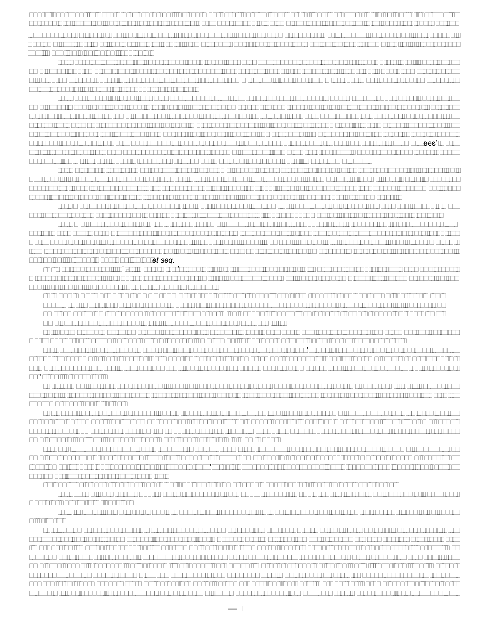hours, and benefits. Such a disclosure shall include meeting(s), duly noticed, held at least 14 days prior to voting, for the specific purpose of discussing the effects of the alternative workweek schedule. An employer shall provide that disclosure in a non-English

language, as well as in English, if at least five (5) percent of the affected employees primarily speak that non-English language. The employer shall mail the written disclosure to employees who do not attend the meeting. Failure to comply with this paragraph shall make the election null and void.

 (4) Any election to establish or repeal an alternative workweek schedule shall be held at the work site of the affected employees. The employer shall bear the costs of conducting any election held pursuant to this section. Upon a complaint by an affected employee, and after an investigation by the labor commissioner, the labor commissioner may require the employer to select a neutral third party to conduct the election.

 (5) Any type of alternative workweek schedule that is authorized by the Labor Code may be repealed by the affected employees. Upon a petition of one-third (1/3) of the affected employees, a new secret ballot election shall be held and a two-thirds (2/3) vote of the affected employees shall be required to reverse the alternative workweek schedule. The election to repeal the alternative workweek schedule shall be held not more than 30 days after the petition is submitted to the employer, except that the election shall be held not less than 12 months after the date that the same group of employees voted in an election held to adopt or repeal an alternative workweek schedule. The election shall take place during regular working hours at the employees' work site. If the alternative workweek schedule is revoked, the employer shall comply within 60 days. Upon proper showing of undue hardship, the Division of Labor Standards Enforcement may grant an extension of time for compliance.

 (6) Only secret ballots may be cast by affected employees in the work unit at any election held pursuant to this section. The results of any election conducted pursuant to this section shall be reported by the employer to the Office of Policy, Research and Legislation within 30 days after the results are final, and the report of election results shall be a public document. The report shall include the final tally of the vote, the size of the unit, and the nature of the business of the employer.

 (7) Employees affected by a change in the work hours resulting from the adoption of an alternative workweek schedule may not be required to work those new work hours for at least 30 days after the announcement of the final results of the election.

 (8) Employers shall not intimidate or coerce employees to vote either in support of or in opposition to a proposed alter- native workweek. No employees shall be discharged or discriminated against for expressing opinions concerning the alternative workweek election or for opposing or supporting its adoption or repeal. However, nothing in this section shall prohibit an employer from expressing his/her position concerning that alternative workweek to the affected employees. A violation of this paragraph shall be subject to Labor Code Section 98 *et seq.* 

 (D) One and one-half (11/2) times a minor's regular rate of pay shall be paid for all work over 40 hours in any workweek except minors 16 or 17 years old who are not required by law to attend school and may therefore be employed for the same hours as an adult are subject to subsection (A) or (B) and (C) above.

 (**VIOLATIONS OF CHILD LABOR LAWS** are subject to civil penalties of from \$500 to \$10,000 as well as to criminal penal- ties. Refer to California Labor Code Sections 1285 to 1312 and 1390 to 1399 for additional restrictions on the employment of minors and for descriptions of criminal and civil penalties for violation of the child labor laws. Employers should ask school districts about any required work permits.)

 (E) An employee may be employed on seven (7) workdays in one workweek when the total hours of employment during such workweek do not exceed 30 and the total hours of employment in any one workday thereof do not exceed six (6).

 (F) The provisions of Labor Code Sections 551 and 552 regarding one (1) day's rest in seven (7) shall not be construed to prevent an accumulation of days of rest when the nature of the employment reasonably requires the employee to work seven (7) or more consecutive days; provided, however, that in each calendar month, the employee shall receive the equivalent of one (1) day's rest in seven (7).

 (G) If a meal period occurs on a shift beginning or ending at or between the hours of 10 p.m. and 6 a.m., facilities shall be available for securing hot food and drink or for heating food or drink, and a suitable sheltered place shall be provided in which to consume such food or drink.

 (H) Except as provided in subsections (D) and (F), this section shall not apply to any employee covered by a valid collective bargaining agreement if the agreement expressly provides for the wages, hours of work, and working conditions of the employees, and if the agreement provides premium wage rates for all overtime hours worked and a regular hourly rate of pay for those employees of not less than 30 percent more than the state minimum wage.

 (I) Notwithstanding subsection (H) above, where the employer and a labor organization representing employees of the employer have entered into a valid collective bargaining agreement pertaining to the hours of work of the employees, the requirement regarding the equivalent of one (1) day's rest in seven (7) (see subsection (F) above) shall apply, unless the agreement expressly provides otherwise.

(J) The provisions of this section are not applicable to employees whose hours of service are regulated by:

 (1) The United States Department of Transportation Code of Federal Regulations, Title 49, Sections 395.1 to 395.13, Hours of Service of Drivers; or

 (2) Title 13 of the California Code of Regulations, subchapter 6.5, Section 1200 and the following sections, regulating hours of drivers.

 (K) If an employer approves a written request of an employee to make up work time that is or would be lost as a result of a personal obligation of the employee, the hours of that makeup work time, if performed in the same workweek in which the work time was lost, may not be counted toward computing the total number of hours worked in a day for purposes of the overtime requirements, except for hours in excess of 11 hours of work in one (1) day or 40 hours of work in one (1) workweek. If an employee knows in advance that he/she will be requesting makeup time for a personal obligation that will recur at a fixed time over a succession of weeks, the employee may request to make up work time for up to four (4) weeks in advance; provided, however, that the makeup work must be performed in the same week that the work time was lost. An employee shall provide a signed written request for each occasion that the employee makes a request to make up work time pursuant to this subsection.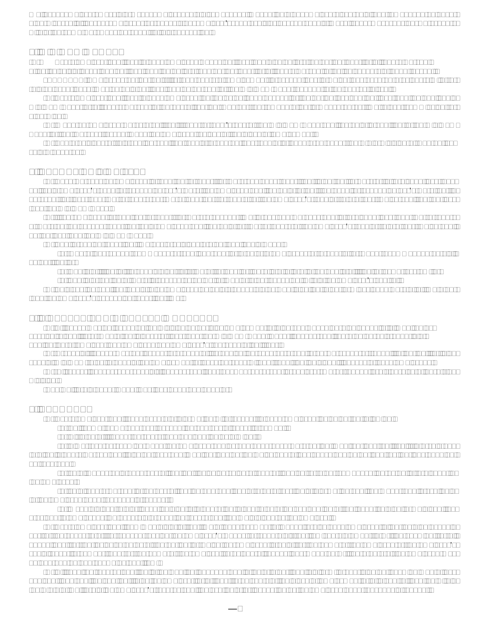While an employer may inform an employee of this makeup time option, the employer is prohibited from encouraging or otherwise soliciting an employee to request the employer's approval to take personal time off and make up the work hours within the same workweek pursuant to this subsection.

## **4. MINIMUM WAGES**

 $(A)$ Every employer shall pay to each employee wages not less than nine dollars (\$9.00) per hour for all hours worked,

 effective July 1, 2014, and not less than ten dollars (\$10.00) per hour for all hours worked, effective January 1, 2016, except: LEARNERS. Employees during their first 160 hours of employment in occupations in which they have no previous similar or related experience, may be paid not less than 85 percent of the minimum wage rounded to the nearest nickel.

 (B) Every employer shall pay to each employee, on the established payday for the period involved, not less than the applicable minimum wage for all hours worked in the payroll period, whether the remuneration is measured by time, piece, commission, or otherwise.

 (C) When an employee works a split shift, one (1) hour's pay at the minimum wage shall be paid in addition to the minimum wage for that workday, except when the employee resides at the place of employment.

 (D) The provisions of this section shall not apply to apprentices regularly indentured under the State Division of Apprenticeship Standards.

## **5. REPORTING TIME PAY**

 (A) Each workday an employee is required to report for work and does report, but is not put to work or is furnished less than half said employee's usual or scheduled day's work, the employee shall be paid for half the usual or scheduled day's work, but in no event for less than two (2) hours nor more than four (4) hours, at the employee's regular rate of pay, which shall not be less than the minimum wage.

 (B) If an employee is required to report for work a second time in any one workday and is furnished less than two (2) hours of work on the second reporting, said employee shall be paid for two (2) hours at the employee's regular rate of pay, which shall not be less than the minimum wage.

(C) The foregoing reporting time pay provisions are not applicable when:

 (1) Operations cannot commence or continue due to threats to employees or property; or when recommended by civil authorities; or

(2) Public utilities fail to supply electricity, water, or gas, or there is a failure in the public utilities, or sewer system; or

(3) The interruption of work is caused by an Act of God or other cause not within the employer's control.

 (D) This section shall not apply to an employee on paid standby status who is called to perform assigned work at a time other than the employee's scheduled reporting time.

## **6. LICENSES FOR DISABLED WORKERS**

 (A) A license may be issued by the Division authorizing employment of a person whose earning capacity is impaired by physical disability or mental deficiency at less than the minimum wage. Such licenses shall be granted only upon joint application of employer and employee and employee's representative if any.

 (B) A special license may be issued to a nonprofit organization such as a sheltered workshop or rehabilitation facility fixing special minimum rates to enable the employment of such persons without requiring individual licenses of such employees.

 (C) All such licenses and special licenses shall be renewed on a yearly basis or more frequently at the discretion of the Division.

(See California Labor Code, Sections 1191 and 1191.5)

## **7. RECORDS**

(A) Every employer shall keep accurate information with respect to each employee including the following:

- (1) Full name, home address, occupation and social security number.
	- (2) Birth date, if under 18 years, and designation as a minor.

 (3) Time records showing when the employee begins and ends each work period. Meal periods, split shift intervals and total daily hours worked shall also be recorded. Meal periods during which operations cease and authorized rest periods need not be recorded.

 (4) Total wages paid each payroll period, including value of board, lodging, or other compensation actually furnished to the employee.

 (5) Total hours worked in the payroll period and applicable rates of pay. This information shall be made readily available to the employee upon reasonable request.

 (6) When a piece rate or incentive plan is in operation, piece rates or an explanation of the incentive plan formula shall be provided to employees. An accurate production record shall be maintained by the employer.

 (B) Every employer shall semimonthly or at the time of each payment of wages furnish each employee, either as a detachable part of the check, draft, or voucher paying the employee's wages, or separately, an itemized statement in writing showing: (1) all deductions; (2) the inclusive dates of the period for which the employee is paid; (3) the name of the employee or the employee's social security number; and (4) the name of the employer, provided all deductions made on written orders of the employee may be aggregated and shown as one item.

 (C) All required records shall be in the English language and in ink or other indelible form, properly dated, showing month, day and year, and shall be kept on file by the employer for at least three years at the place of employment or at a central location within the State of California. An employee's records shall be available for inspection by the employee upon reasonable request.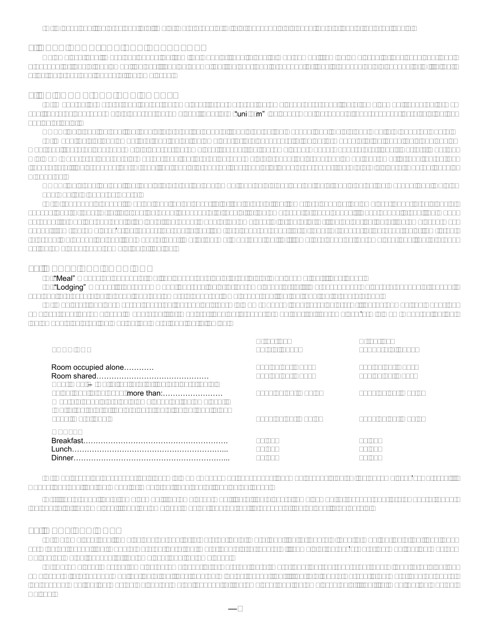(D) Clocks shall be provided in all major work areas or within reasonable distance thereto insofar as practicable.

### **8. CASH SHORTAGE AND BREAKAGE**

 No employer shall make any deduction from the wage or require any reimbursement from an employee for any cash shortage, breakage, or loss of equipment, unless it can be shown that the shortage, breakage, or loss is caused by a dishonest or willful act, or by the gross negligence of the employee.

## **9. UNIFORMS AND EQUIPMENT**

 (A) When uniforms are required by the employer to be worn by the employee as a condition of employment, such uniforms shall be provided and maintained by the employer. The term "uniform" includes wearing apparel and accessories of distinctive design or color.

**NOTE:** This section shall not apply to protective apparel regulated by the Occupational Safety and Health Standards Board.

 (B) When tools or equipment are required by the employer or are necessary to the performance of a job, such tools and equip- ment shall be provided and maintained by the employer, except that an employee whose wages are at least two (2) times the minimum wage provided herein may be required to provide and maintain hand tools and equipment customarily required by the trade or craft. This subsection (B) shall not apply to apprentices regularly indentured under the State Division of Apprenticeship Standards.

 **NOTE:** This section shall not apply to protective equipment and safety devices on tools regulated by the Occupational Safety and Health Standards Board.

 (C) A reasonable deposit may be required as security for the return of the items furnished by the employer under provisions of subsections (A) and (B) of this section upon issuance of a receipt to the employee for such deposit. Such deposits shall be made pursuant to Section 400 and following of the Labor Code or an employer with the prior written authorization of the employee may deduct from the employee's last check the cost of an item furnished pursuant to (A) and (B) above in the event said item is not returned. No deduction shall be made at any time for normal wear and tear. All items furnished by the employer shall be returned by the employee upon completion of the job.

### **10. MEALS AND LODGING**

(A) "Meal" means an adequate, well-balanced serving of a variety of wholesome, nutritious foods.

(B) "Lodging" means living accommodations available to the employee for full-time occupancy which are adequate, decent, and sanitary according to usual and customary standards. Employees shall not be required to share a bed.

 (C) Meals or lodging may not be credited against the minimum wage without a voluntary written agreement between the employer and the employee. When credit for meals or lodging is used to meet part of the employer's minimum wage obligation, the amounts so credited may not be more than the following:

| <b>Effective</b>    | <b>Effective</b>       |
|---------------------|------------------------|
| <b>July 1, 2014</b> | <b>January 1, 2016</b> |
| \$42.33 per week    | \$47.03 per week       |
| \$34.94 per week    | \$38.82 per week       |
| \$508.38 per month  | \$564.81 per month     |
| \$752.02 per month  | \$835.49 per month     |
| \$3.26              | \$3.62                 |
| \$4.47              | \$4.97                 |
| \$6.01              | \$6.68                 |
|                     |                        |

 (D) Meals evaluated as part of the minimum wage must be bona fide meals consistent with the employee's work shift. Deductions shall not be made for meals not received or lodging not used.

 (E) If, as a condition of employment, the employee must live at the place of employment or occupy quarters owned or under the control of the employer, then the employer may not charge rent in excess of the values listed herein.

#### **11. MEAL PERIODS**

 (A) No employer shall employ any person for a work period of more than five (5) hours without a meal period of not less than 30 minutes, except that when a work period of not more than six (6) hours will complete the day's work the meal period may be waived by mutual consent of the employer and the employee.

 (B) An employer may not employ an employee for a work period of more than ten (10) hours per day without providing the employee with a second meal period of not less than 30 minutes, except that if the total hours worked is no more than 12 hours, the second meal period may be waived by mutual consent of the employer and the employee only if the first meal period was not waived.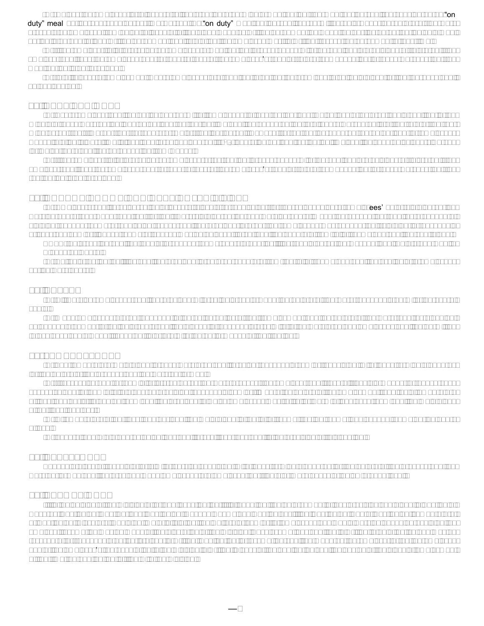(C) Unless the employee is relieved of all duty during a 30 minute meal period, the meal period shall be considered an "on duty" meal period and counted as time worked. An "on duty" meal period shall be permitted only when the nature of the work prevents an employee from being relieved of all duty and when by written agreement between the parties an on-the-job paid meal period is agreed to. The written agreement shall state that the employee may, in writing, revoke the agreement at any time.

 (D) If an employer fails to provide an employee a meal period in accordance with the applicable provisions of this order, the employer shall pay the employee one (1) hour of pay at the employee's regular rate of compensation for each workday that the meal period is not provided.

 (E) In all places of employment where employees are required to eat on the premises, a suitable place for that purpose shall be designated.

## **12. REST PERIODS**

 (A) Every employer shall authorize and permit all employees to take rest periods, which insofar as practicable shall be in the middle of each work period. The authorized rest period time shall be based on the total hours worked daily at the rate of ten (10) minutes net rest time per four (4) hours or major fraction thereof. However, a rest period need not be authorized for employees whose total daily work time is less than three and one-half (3½) hours. Authorized rest period time shall be counted as hours worked for which there shall be no deduction from wages.

 (B) If an employer fails to provide an employee a rest period in accordance with the applicable provisions of this order, the employer shall pay the employee one (1) hour of pay at the employee's regular rate of compensation for each workday that the rest period is not provided.

## **13. CHANGE ROOMS AND RESTINGFACILITIES**

 (A) Employers shall provide suitable lockers, closets, or equivalent for the safekeeping of employees' outer clothing during working hours, and when required, for their work clothing during non-working hours. When the occupation requires a change of clothing, change rooms or equivalent space shall be provided in order that employees may change their clothing in reasonable privacy and comfort. These rooms or spaces may be adjacent to but shall be separate from toilet rooms and shall be kept clean.

 **NOTE:** This section shall not apply to change rooms and storage facilities regulated by the Occupational Safety and Health Standards Board.

 (B) Suitable resting facilities shall be provided in an area separate from the toilet rooms and shall be available to employees during work hours.

### **14. SEATS**

 (A) All working employees shall be provided with suitable seats when the nature of the work reasonably permits the use of seats.

 (B) When employees are not engaged in the active duties of their employment and the nature of the work requires standing, an adequate number of suitable seats shall be placed in reasonable proximity to the work area and employees shall be permitted to use such seats when it does not interfere with the performance of their duties.

## **15.TEMPERATURE**

 (A) The temperature maintained in each work area shall provide reasonable comfort consistent with industry-wide standards for the nature of the process and the work performed.

 (B) If excessive heat or humidity is created by the work process, the employer shall take all feasible means to reduce such excessive heat or humidity to a degree providing reasonable comfort. Where the nature of the employment requires a temperature of less than 60° F., a heated room shall be provided to which employees may retire for warmth, and such room shall be maintained at not less than 68°.

 (C) A temperature of not less than 68° shall be maintained in the toilet rooms, resting rooms, and change rooms during hours of use.

(D) Federal and State energy guidelines shall prevail over any conflicting provision of this section.

## **16. ELEVATORS**

 Adequate elevator, escalator or similar service consistent with industry-wide standards for the nature of the process and the work performed shall be provided when employees are employed four floors or more above or below ground level.

#### **17. EXEMPTIONS**

 If, in the opinion of the Division after due investigation, it is found that the enforcement of any provision contained in Section 7, Records; Section 12, Rest Periods; Section 13, Change Rooms and Resting Facilities; Section 14, Seats; Section 15, Temperature; or Section 16, Elevators, would not materially affect the welfare or comfort of employees and would work an undue hardship on the employer, exemption may be made at the discretion of the Division. Such exemptions shall be in writing to be effective and may be revoked after reasonable notice is given in writing. Application for exemption shall be made by the employer or by the employee and/or the employee's representative to the Division in writing. A copy of the application shall be posted at the place of employment at the time the application is filed with the Division.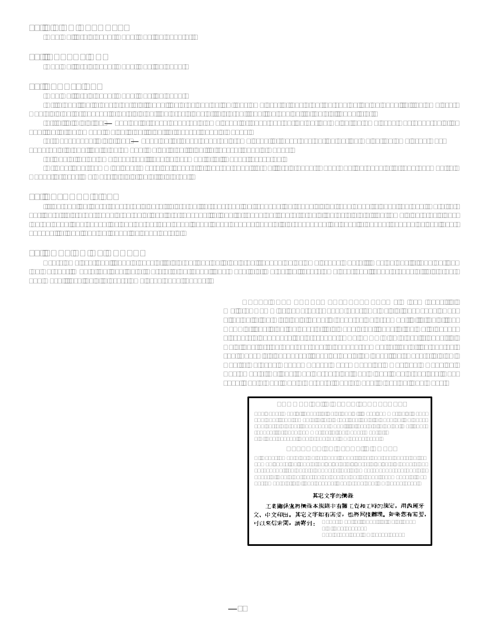## **18. FILING REPORTS**

(See California Labor Code, Section 1174(a))

### **19. INSPECTION**

(See California Labor Code, Section 1174)

## **20. PENALTIES**

(See California Labor Code, Section 1199)

 (A) In addition to any other civil penalties provided by law, any employer or any other person acting on behalf of the employer who violates, or causes to be violated, the provisions of this order, shall be subject to the civil penalty of:

 (1) Initial Violation — \$50.00 for each underpaid employee for each pay period during which the employee was underpaid in addition to the amount which is sufficient to recover unpaid wages.

 (2) Subsequent Violations — \$100.00 for each underpaid employee for each pay period during which the employee was underpaid in addition to an amount which is sufficient to recover unpaid wages.

(3) The affected employee shall receive payment of all wages recovered.

 (B) The labor commissioner may also issue citations pursuant to California Labor Code Section 1197.1 for non-payment of wages for overtime work in violation of this order.

## **21. SEPARABILITY**

 If the application of any provision of this order, or any section, subsection, subdivision, sentence, clause, phrase, word, or portion of this order should be held invalid or unconstitutional or unauthorized or prohibited by statute, the remaining provisions thereof shall not be affected thereby, but shall continue to be given full force and effect as if the part so held invalid or unconstitutional had not been included herein.

## **22. POSTING OF ORDER**

 Every employer shall keep a copy of this order posted in an area frequented by employees where it may be easily read during the workday. Where the location of work or other conditions make this impractical, every employer shall keep a copy of this order and make it available to every employee upon request.

> **QUESTIONS ABOUT ENFORCEMENT** of the Industrial Welfare Commission orders and reports of violations should be directed to the Division of Labor Standards Enforcement. A listing of the DLSE offices is on the back of this wage order. Look in the white pages of your telephone directory under CALIFORNIA, State of, Industrial Relations for the address and telephone number of the office nearest you. The Division has offices in the following cities: Bakersfield, El Centro, Fresno, Long Beach, Los Angeles, Oakland, Redding, Sacramento, Salinas, San Bernardino, San Diego, San Francisco, San Jose, Santa Ana, Santa Barbara, Santa Rosa, Stockton, Van Nuys.